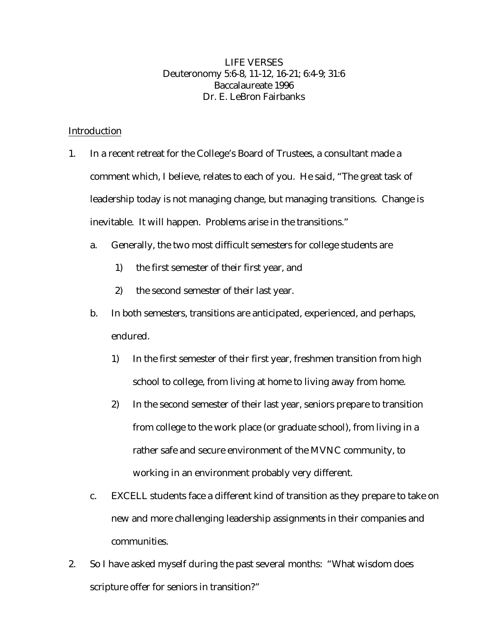LIFE VERSES Deuteronomy 5:6-8, 11-12, 16-21; 6:4-9; 31:6 Baccalaureate 1996 Dr. E. LeBron Fairbanks

## Introduction

- 1. In a recent retreat for the College's Board of Trustees, a consultant made a comment which, I believe, relates to each of you. He said, "The great task of leadership today is not managing change, but managing transitions. Change is inevitable. It will happen. Problems arise in the transitions."
	- a. Generally, the two most difficult semesters for college students are
		- 1) the first semester of their first year, and
		- 2) the second semester of their last year.
	- b. In both semesters, transitions are anticipated, experienced, and perhaps, endured.
		- 1) In the first semester of their first year, freshmen transition from high school to college, from living at home to living away from home.
		- 2) In the second semester of their last year, seniors prepare to transition from college to the work place (or graduate school), from living in a rather safe and secure environment of the MVNC community, to working in an environment probably very different.
	- c. EXCELL students face a different kind of transition as they prepare to take on new and more challenging leadership assignments in their companies and communities.
- 2. So I have asked myself during the past several months: "What wisdom does scripture offer for seniors in transition?"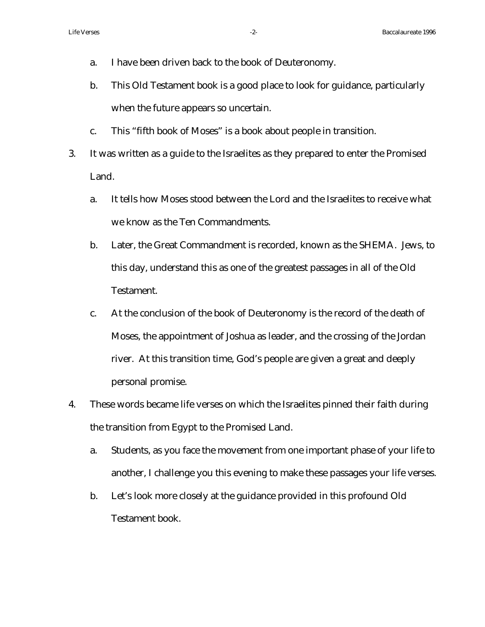- a. I have been driven back to the book of Deuteronomy.
- b. This Old Testament book is a good place to look for guidance, particularly when the future appears so uncertain.
- c. This "fifth book of Moses" is a book about people in transition.
- 3. It was written as a guide to the Israelites as they prepared to enter the Promised Land.
	- a. It tells how Moses stood between the Lord and the Israelites to receive what we know as the Ten Commandments.
	- b. Later, the Great Commandment is recorded, known as the SHEMA. Jews, to this day, understand this as one of the greatest passages in all of the Old Testament.
	- c. At the conclusion of the book of Deuteronomy is the record of the death of Moses, the appointment of Joshua as leader, and the crossing of the Jordan river. At this transition time, God's people are given a great and deeply personal promise.
- 4. These words became life verses on which the Israelites pinned their faith during the transition from Egypt to the Promised Land.
	- a. Students, as you face the movement from one important phase of your life to another, I challenge you this evening to make these passages your life verses.
	- b. Let's look more closely at the guidance provided in this profound Old Testament book.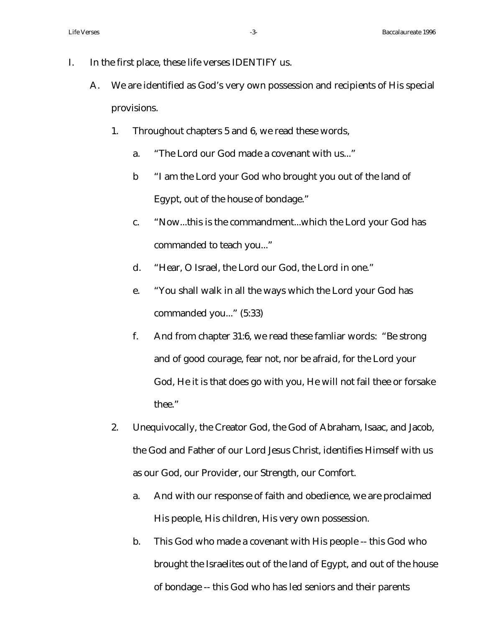- I. In the first place, these life verses IDENTIFY us.
	- A. We are identified as God's very own possession and recipients of His special provisions.
		- 1. Throughout chapters 5 and 6, we read these words,
			- a. "The Lord our God made a covenant with us..."
			- b "I am the Lord your God who brought you out of the land of Egypt, out of the house of bondage."
			- c. "Now...this is the commandment...which the Lord your God has commanded to teach you..."
			- d. "Hear, O Israel, the Lord our God, the Lord in one."
			- e. "You shall walk in all the ways which the Lord your God has commanded you..." (5:33)
			- f. And from chapter 31:6, we read these famliar words: "Be strong and of good courage, fear not, nor be afraid, for the Lord your God, He it is that does go with you, He will not fail thee or forsake thee."
		- 2. Unequivocally, the Creator God, the God of Abraham, Isaac, and Jacob, the God and Father of our Lord Jesus Christ, identifies Himself with us as our God, our Provider, our Strength, our Comfort.
			- a. And with our response of faith and obedience, we are proclaimed His people, His children, His very own possession.
			- b. This God who made a covenant with His people -- this God who brought the Israelites out of the land of Egypt, and out of the house of bondage -- this God who has led seniors and their parents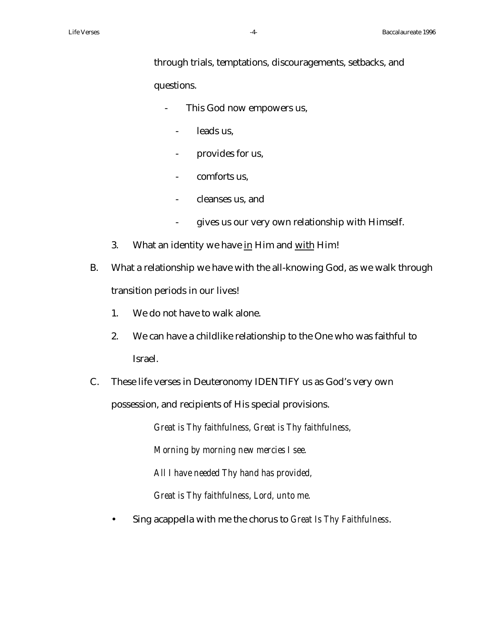through trials, temptations, discouragements, setbacks, and questions.

- This God now empowers us,
	- leads us,
	- provides for us,
	- comforts us,
	- cleanses us, and
	- gives us our very own relationship with Himself.
- 3. What an identity we have in Him and with Him!
- B. What a relationship we have with the all-knowing God, as we walk through transition periods in our lives!
	- 1. We do not have to walk alone.
	- 2. We can have a childlike relationship to the One who was faithful to Israel.
- C. These life verses in Deuteronomy IDENTIFY us as God's very own possession, and recipients of His special provisions.

*Great is Thy faithfulness, Great is Thy faithfulness, Morning by morning new mercies I see. All I have needed Thy hand has provided, Great is Thy faithfulness, Lord, unto me.*

• Sing acappella with me the chorus to *Great Is Thy Faithfulness*.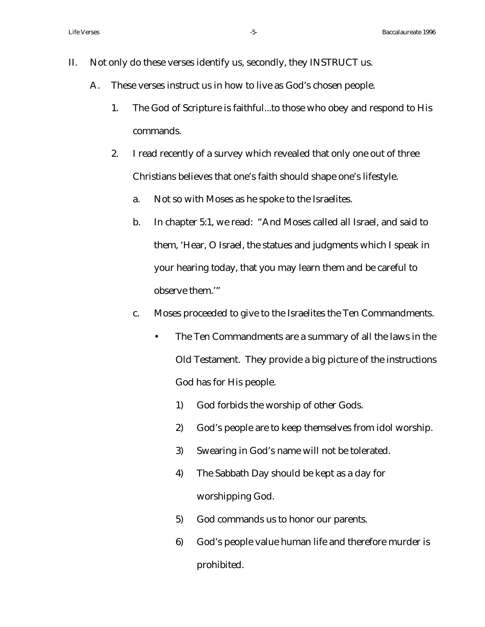- II. Not only do these verses identify us, secondly, they INSTRUCT us.
	- A. These verses instruct us in how to live as God's chosen people.
		- 1. The God of Scripture is faithful...to those who obey and respond to His commands.
		- 2. I read recently of a survey which revealed that only one out of three Christians believes that one's faith should shape one's lifestyle.
			- a. Not so with Moses as he spoke to the Israelites.
			- b. In chapter 5:1, we read: "And Moses called all Israel, and said to them, 'Hear, O Israel, the statues and judgments which I speak in your hearing today, that you may learn them and be careful to observe them.'"
			- c. Moses proceeded to give to the Israelites the Ten Commandments.
				- The Ten Commandments are a summary of all the laws in the Old Testament. They provide a big picture of the instructions God has for His people.
					- 1) God forbids the worship of other Gods.
					- 2) God's people are to keep themselves from idol worship.
					- 3) Swearing in God's name will not be tolerated.
					- 4) The Sabbath Day should be kept as a day for worshipping God.
					- 5) God commands us to honor our parents.
					- 6) God's people value human life and therefore murder is prohibited.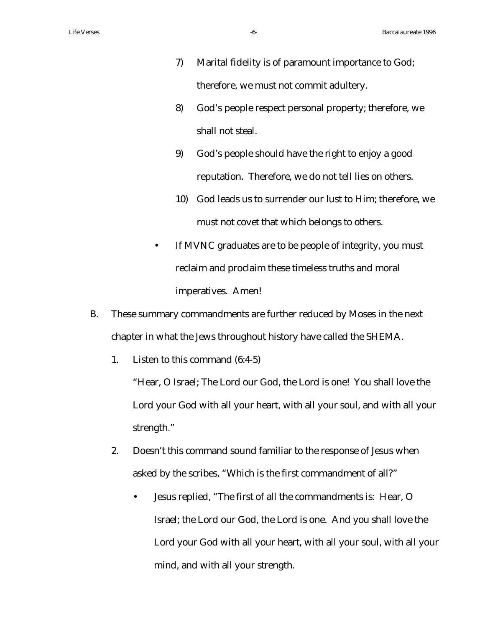- 7) Marital fidelity is of paramount importance to God; therefore, we must not commit adultery.
- 8) God's people respect personal property; therefore, we shall not steal.
- 9) God's people should have the right to enjoy a good reputation. Therefore, we do not tell lies on others.
- 10) God leads us to surrender our lust to Him; therefore, we must not covet that which belongs to others.
- If MVNC graduates are to be people of integrity, you must reclaim and proclaim these timeless truths and moral imperatives. Amen!
- B. These summary commandments are further reduced by Moses in the next chapter in what the Jews throughout history have called the SHEMA.
	- 1. Listen to this command (6:4-5)

"Hear, O Israel; The Lord our God, the Lord is one! You shall love the Lord your God with all your heart, with all your soul, and with all your strength."

- 2. Doesn't this command sound familiar to the response of Jesus when asked by the scribes, "Which is the first commandment of all?"
	- Jesus replied, "The first of all the commandments is: Hear, O Israel; the Lord our God, the Lord is one. And you shall love the Lord your God with all your heart, with all your soul, with all your mind, and with all your strength.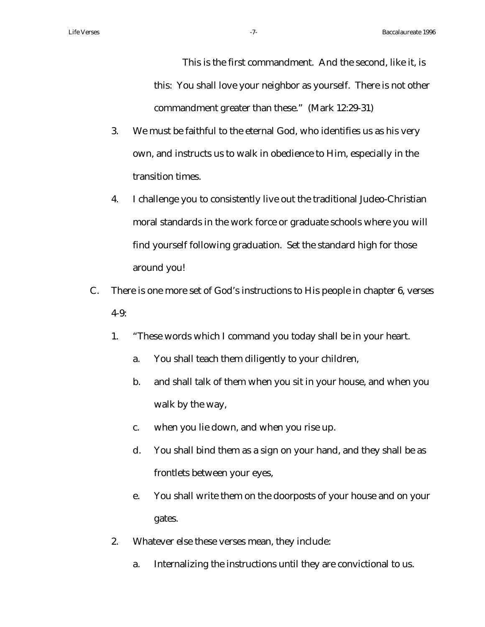This is the first commandment. And the second, like it, is this: You shall love your neighbor as yourself. There is not other commandment greater than these." (Mark 12:29-31)

- 3. We must be faithful to the eternal God, who identifies us as his very own, and instructs us to walk in obedience to Him, especially in the transition times.
- 4. I challenge you to consistently live out the traditional Judeo-Christian moral standards in the work force or graduate schools where you will find yourself following graduation. Set the standard high for those around you!
- C. There is one more set of God's instructions to His people in chapter 6, verses 4-9:
	- 1. "These words which I command you today shall be in your heart.
		- a. You shall teach them diligently to your children,
		- b. and shall talk of them when you sit in your house, and when you walk by the way,
		- c. when you lie down, and when you rise up.
		- d. You shall bind them as a sign on your hand, and they shall be as frontlets between your eyes,
		- e. You shall write them on the doorposts of your house and on your gates.
	- 2. Whatever else these verses mean, they include:
		- a. Internalizing the instructions until they are convictional to us.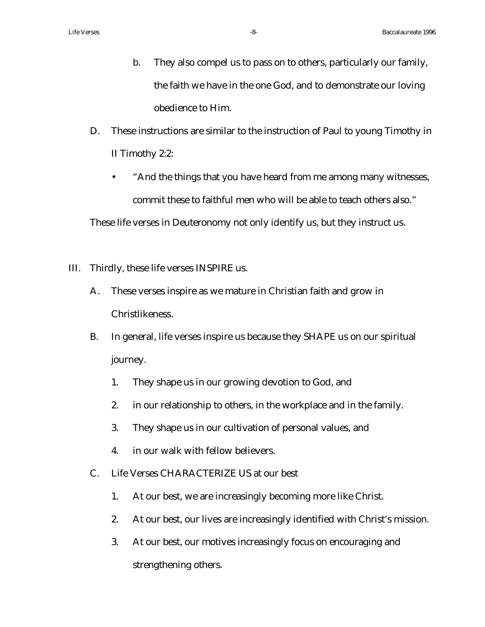- b. They also compel us to pass on to others, particularly our family, the faith we have in the one God, and to demonstrate our loving obedience to Him.
- D. These instructions are similar to the instruction of Paul to young Timothy in II Timothy 2:2:
	- "And the things that you have heard from me among many witnesses, commit these to faithful men who will be able to teach others also."

These life verses in Deuteronomy not only identify us, but they instruct us.

III. Thirdly, these life verses INSPIRE us.

- A. These verses inspire as we mature in Christian faith and grow in Christlikeness.
- B. In general, life verses inspire us because they SHAPE us on our spiritual journey.
	- 1. They shape us in our growing devotion to God, and
	- 2. in our relationship to others, in the workplace and in the family.
	- 3. They shape us in our cultivation of personal values, and
	- 4. in our walk with fellow believers.
- C. Life Verses CHARACTERIZE US at our best
	- 1. At our best, we are increasingly becoming more like Christ.
	- 2. At our best, our lives are increasingly identified with Christ's mission.
	- 3. At our best, our motives increasingly focus on encouraging and strengthening others.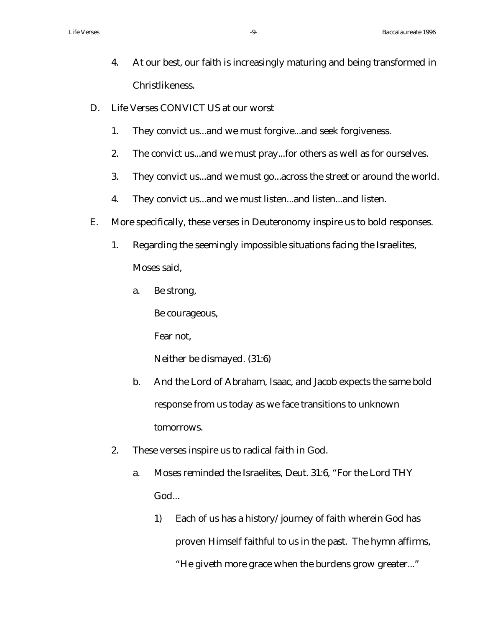- 4. At our best, our faith is increasingly maturing and being transformed in Christlikeness.
- D. Life Verses CONVICT US at our worst
	- 1. They convict us...and we must forgive...and seek forgiveness.
	- 2. The convict us...and we must pray...for others as well as for ourselves.
	- 3. They convict us...and we must go...across the street or around the world.
	- 4. They convict us...and we must listen...and listen...and listen.
- E. More specifically, these verses in Deuteronomy inspire us to bold responses.
	- 1. Regarding the seemingly impossible situations facing the Israelites, Moses said,
		- a. Be strong,

Be courageous,

Fear not,

Neither be dismayed. (31:6)

- b. And the Lord of Abraham, Isaac, and Jacob expects the same bold response from us today as we face transitions to unknown tomorrows.
- 2. These verses inspire us to radical faith in God.
	- a. Moses reminded the Israelites, Deut. 31:6, "For the Lord THY God...
		- 1) Each of us has a history/journey of faith wherein God has proven Himself faithful to us in the past. The hymn affirms, "He giveth more grace when the burdens grow greater..."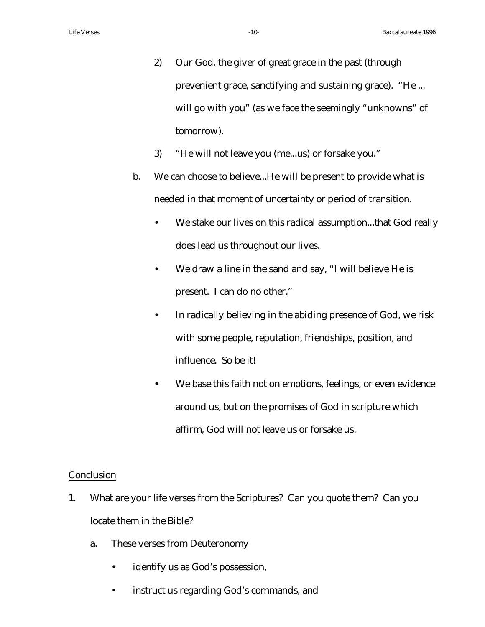- 2) Our God, the giver of great grace in the past (through prevenient grace, sanctifying and sustaining grace). "He ... will go with you" (as we face the seemingly "unknowns" of tomorrow).
- 3) "He will not leave you (me...us) or forsake you."
- b. We can choose to believe...He will be present to provide what is needed in that moment of uncertainty or period of transition.
	- We stake our lives on this radical assumption...that God really does lead us throughout our lives.
	- We draw a line in the sand and say, "I will believe He is present. I can do no other."
	- In radically believing in the abiding presence of God, we risk with some people, reputation, friendships, position, and influence. So be it!
	- We base this faith not on emotions, feelings, or even evidence around us, but on the promises of God in scripture which affirm, God will not leave us or forsake us.

## Conclusion

- 1. What are your life verses from the Scriptures? Can you quote them? Can you locate them in the Bible?
	- a. These verses from Deuteronomy
		- identify us as God's possession,
		- instruct us regarding God's commands, and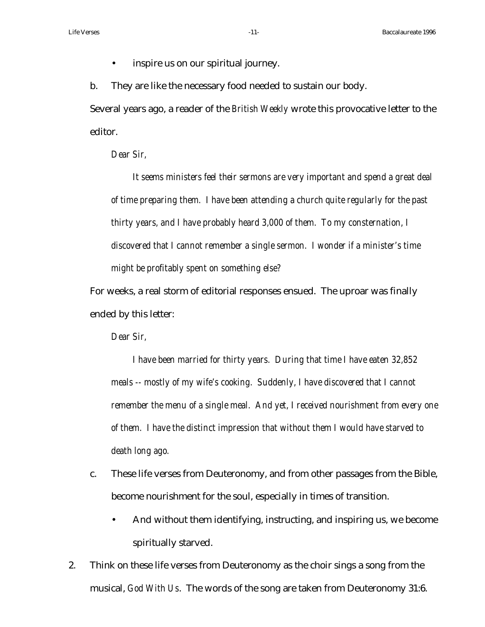inspire us on our spiritual journey.

b. They are like the necessary food needed to sustain our body.

Several years ago, a reader of the *British Weekly* wrote this provocative letter to the editor.

*Dear Sir,*

*It seems ministers feel their sermons are very important and spend a great deal of time preparing them. I have been attending a church quite regularly for the past thirty years, and I have probably heard 3,000 of them. To my consternation, I discovered that I cannot remember a single sermon. I wonder if a minister's time might be profitably spent on something else?*

For weeks, a real storm of editorial responses ensued. The uproar was finally ended by this letter:

*Dear Sir,*

*I have been married for thirty years. During that time I have eaten 32,852 meals -- mostly of my wife's cooking. Suddenly, I have discovered that I cannot remember the menu of a single meal. And yet, I received nourishment from every one of them. I have the distinct impression that without them I would have starved to death long ago.*

- c. These life verses from Deuteronomy, and from other passages from the Bible, become nourishment for the soul, especially in times of transition.
	- And without them identifying, instructing, and inspiring us, we become spiritually starved.
- 2. Think on these life verses from Deuteronomy as the choir sings a song from the musical, *God With Us*. The words of the song are taken from Deuteronomy 31:6.